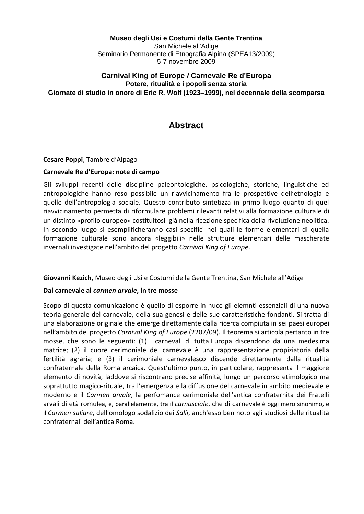**Museo degli Usi e Costumi della Gente Trentina** San Michele all'Adige Seminario Permanente di Etnografia Alpina (SPEA13/2009) 5-7 novembre 2009

### **Carnival King of Europe** */* **Carnevale Re d'Europa Potere, ritualità e i popoli senza storia Giornate di studio in onore di Eric R. Wolf (1923–1999), nel decennale della scomparsa**

# **Abstract**

### **Cesare Poppi**, Tambre d'Alpago

#### **Carnevale Re d'Europa: note di campo**

Gli sviluppi recenti delle discipline paleontologiche, psicologiche, storiche, linguistiche ed antropologiche hanno reso possibile un riavvicinamento fra le prospettive dell'etnologia e quelle dell'antropologia sociale. Questo contributo sintetizza in primo luogo quanto di quel riavvicinamento permetta di riformulare problemi rilevanti relativi alla formazione culturale di un distinto «profilo europeo» costituitosi già nella ricezione specifica della rivoluzione neolitica. In secondo luogo si esemplificheranno casi specifici nei quali le forme elementari di quella formazione culturale sono ancora «leggibili» nelle strutture elementari delle mascherate invernali investigate nell'ambito del progetto *Carnival King of Europe*.

### **Giovanni Kezich**, Museo degli Usi e Costumi della Gente Trentina, San Michele all'Adige

#### **Dal carnevale al** *carmen arvale***, in tre mosse**

Scopo di questa comunicazione è quello di esporre in nuce gli elemnti essenziali di una nuova teoria generale del carnevale, della sua genesi e delle sue caratteristiche fondanti. Si tratta di una elaborazione originale che emerge direttamente dalla ricerca compiuta in sei paesi europei nell'ambito del progetto *Carnival King of Europe* (2207/09). Il teorema si articola pertanto in tre mosse, che sono le seguenti: (1) i carnevali di tutta Europa discendono da una medesima matrice; (2) il cuore cerimoniale del carnevale è una rappresentazione propiziatoria della fertilità agraria; e (3) il cerimoniale carnevalesco discende direttamente dalla ritualità confraternale della Roma arcaica. Quest'ultimo punto, in particolare, rappresenta il maggiore elemento di novità, laddove si riscontrano precise affinità, lungo un percorso etimologico ma soprattutto magico-rituale, tra l'emergenza e la diffusione del carnevale in ambito medievale e moderno e il *Carmen arvale*, la perfomance cerimoniale dell'antica confraternita dei Fratelli arvali di età romulea, e, parallelamente, tra il *carnasciale*, che di carnevale è oggi mero sinonimo, e il *Carmen saliare*, dell'omologo sodalizio dei *Salii*, anch'esso ben noto agli studiosi delle ritualità confraternali dell'antica Roma.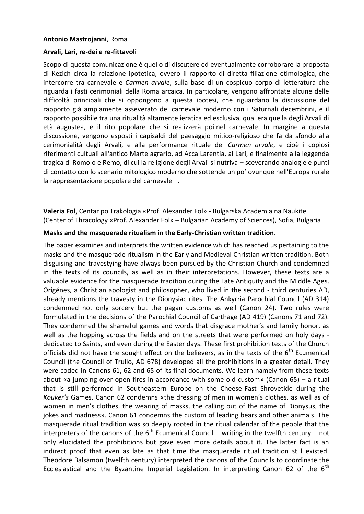### **Antonio Mastrojanni**, Roma

#### **Arvali, Lari, re-dei e re-fittavoli**

Scopo di questa comunicazione è quello di discutere ed eventualmente corroborare la proposta di Kezich circa la relazione ipotetica, ovvero il rapporto di diretta filiazione etimologica, che intercorre tra carnevale e *Carmen arvale*, sulla base di un cospicuo corpo di letteratura che riguarda i fasti cerimoniali della Roma arcaica. In particolare, vengono affrontate alcune delle difficoltà principali che si oppongono a questa ipotesi, che riguardano la discussione del rapporto già ampiamente asseverato del carnevale moderno con i Saturnali decembrini, e il rapporto possibile tra una ritualità altamente ieratica ed esclusiva, qual era quella degli Arvali di età augustea, e il rito popolare che si realizzerà poi nel carnevale. In margine a questa discussione, vengono esposti i capisaldi del paesaggio mitico-religioso che fa da sfondo alla cerimonialità degli Arvali, e alla performance rituale del *Carmen arvale*, e cioè i copiosi riferimenti cultuali all'antico Marte agrario, ad Acca Larentia, ai Lari, e finalmente alla leggenda tragica di Romolo e Remo, di cui la religione degli Arvali si nutriva – sceverando analogie e punti di contatto con lo scenario mitologico moderno che sottende un po' ovunque nell'Europa rurale la rappresentazione popolare del carnevale –.

**Valeria Fol**, Centar po Trakologia «Prof. Alexander Fol» - Bulgarska Academia na Naukite (Center of Thracology «Prof. Alexander Fol» – Bulgarian Academy of Sciences), Sofia, Bulgaria

#### **Masks and the masquerade ritualism in the Early-Christian written tradition**.

The paper examines and interprets the written evidence which has reached us pertaining to the masks and the masquerade ritualism in the Early and Medieval Christian written tradition. Both disguising and travestying have always been pursued by the Christian Church and condemned in the texts of its councils, as well as in their interpretations. However, these texts are a valuable evidence for the masquerade tradition during the Late Antiquity and the Middle Ages. Origénes, a Christian apologist and philosopher, who lived in the second - third centuries AD, already mentions the travesty in the Dionysiac rites. The Ankyrria Parochial Council (AD 314) condemned not only sorcery but the pagan customs as well (Canon 24). Two rules were formulated in the decisions of the Parochial Council of Carthage (AD 419) (Canons 71 and 72). They condemned the shameful games and words that disgrace mother's and family honor, as well as the hopping across the fields and on the streets that were performed on holy days dedicated to Saints, and even during the Easter days. These first prohibition texts of the Church officials did not have the sought effect on the believers, as in the texts of the  $6<sup>th</sup>$  Ecumenical Council (the Council of Trullo, AD 678) developed all the prohibitions in a greater detail. They were coded in Canons 61, 62 and 65 of its final documents. We learn namely from these texts about «a jumping over open fires in accordance with some old custom» (Canon 65) – a ritual that is still performed in Southeastern Europe on the Cheese-Fast Shrovetide during the *Kouker's* Games. Canon 62 condemns «the dressing of men in women's clothes, as well as of women in men's clothes, the wearing of masks, the calling out of the name of Dionysus, the jokes and madness». Canon 61 condemns the custom of leading bears and other animals. The masquerade ritual tradition was so deeply rooted in the ritual calendar of the people that the interpreters of the canons of the  $6<sup>th</sup>$  Ecumenical Council – writing in the twelfth century – not only elucidated the prohibitions but gave even more details about it. The latter fact is an indirect proof that even as late as that time the masquerade ritual tradition still existed. Theodore Balsamon (twelfth century) interpreted the canons of the Councils to coordinate the Ecclesiastical and the Byzantine Imperial Legislation. In interpreting Canon 62 of the  $6<sup>th</sup>$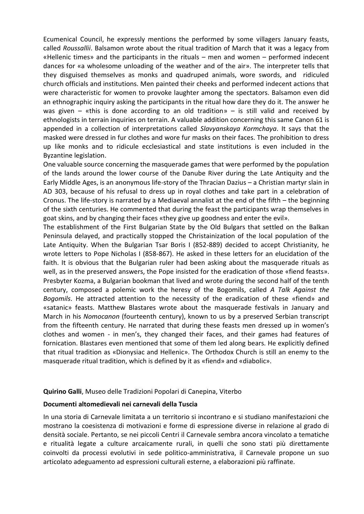Ecumenical Council, he expressly mentions the performed by some villagers January feasts, called *Roussallii*. Balsamon wrote about the ritual tradition of March that it was a legacy from «Hellenic times» and the participants in the rituals – men and women – performed indecent dances for «a wholesome unloading of the weather and of the air». The interpreter tells that they disguised themselves as monks and quadruped animals, wore swords, and ridiculed church officials and institutions. Men painted their cheeks and performed indecent actions that were characteristic for women to provoke laughter among the spectators. Balsamon even did an ethnographic inquiry asking the participants in the ritual how dare they do it. The answer he was given  $-$  «this is done according to an old tradition»  $-$  is still valid and received by ethnologists in terrain inquiries on terrain. A valuable addition concerning this same Canon 61 is appended in a collection of interpretations called *Slavyanskaya Kormchaya*. It says that the masked were dressed in fur clothes and wore fur masks on their faces. The prohibition to dress up like monks and to ridicule ecclesiastical and state institutions is even included in the Byzantine legislation.

One valuable source concerning the masquerade games that were performed by the population of the lands around the lower course of the Danube River during the Late Antiquity and the Early Middle Ages, is an anonymous life-story of the Thracian Dazius – a Christian martyr slain in AD 303, because of his refusal to dress up in royal clothes and take part in a celebration of Cronus. The life-story is narrated by a Mediaeval annalist at the end of the fifth – the beginning of the sixth centuries. He commented that during the feast the participants wrap themselves in goat skins, and by changing their faces «they give up goodness and enter the evil».

The establishment of the First Bulgarian State by the Old Bulgars that settled on the Balkan Peninsula delayed, and practically stopped the Christainization of the local population of the Late Antiquity. When the Bulgarian Tsar Boris I (852-889) decided to accept Christianity, he wrote letters to Pope Nicholas I (858-867). He asked in these letters for an elucidation of the faith. It is obvious that the Bulgarian ruler had been asking about the masquerade rituals as well, as in the preserved answers, the Pope insisted for the eradication of those «fiend feasts». Presbyter Kozma, a Bulgarian bookman that lived and wrote during the second half of the tenth century, composed a polemic work the heresy of the Bogomils, called *A Talk Against the Bogomils*. He attracted attention to the necessity of the eradication of these «fiend» and «satanic» feasts. Matthew Blastares wrote about the masquerade festivals in January and March in his *Nomocanon* (fourteenth century), known to us by a preserved Serbian transcript from the fifteenth century. He narrated that during these feasts men dressed up in women's clothes and women - in men's, they changed their faces, and their games had features of fornication. Blastares even mentioned that some of them led along bears. He explicitly defined that ritual tradition as «Dionysiac and Hellenic». The Orthodox Church is still an enemy to the masquerade ritual tradition, which is defined by it as «fiend» and «diabolic».

## **Quirino Galli**, Museo delle Tradizioni Popolari di Canepina, Viterbo

### **Documenti altomedievali nei carnevali della Tuscia**

In una storia di Carnevale limitata a un territorio si incontrano e si studiano manifestazioni che mostrano la coesistenza di motivazioni e forme di espressione diverse in relazione al grado di densità sociale. Pertanto, se nei piccoli Centri il Carnevale sembra ancora vincolato a tematiche e ritualità legate a culture arcaicamente rurali, in quelli che sono stati più direttamente coinvolti da processi evolutivi in sede politico-amministrativa, il Carnevale propone un suo articolato adeguamento ad espressioni culturali esterne, a elaborazioni più raffinate.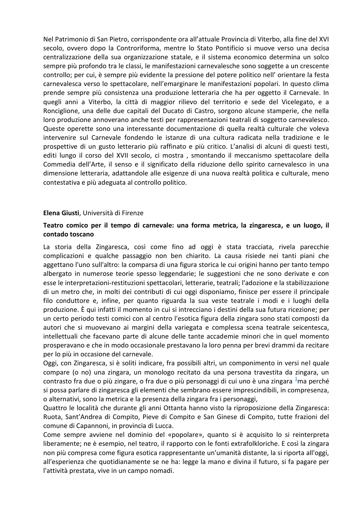Nel Patrimonio di San Pietro, corrispondente ora all'attuale Provincia di Viterbo, alla fine del XVI secolo, ovvero dopo la Controriforma, mentre lo Stato Pontificio si muove verso una decisa centralizzazione della sua organizzazione statale, e il sistema economico determina un solco sempre più profondo tra le classi, le manifestazioni carnevalesche sono soggette a un crescente controllo; per cui, è sempre più evidente la pressione del potere politico nell' orientare la festa carnevalesca verso lo spettacolare, nell'emarginare le manifestazioni popolari. In questo clima prende sempre più consistenza una produzione letteraria che ha per oggetto il Carnevale. In quegli anni a Viterbo, la città di maggior rilievo del territorio e sede del Vicelegato, e a Ronciglione, una delle due capitali del Ducato di Castro, sorgono alcune stamperie, che nella loro produzione annoverano anche testi per rappresentazioni teatrali di soggetto carnevalesco. Queste operette sono una interessante documentazione di quella realtà culturale che voleva intervenire sul Carnevale fondendo le istanze di una cultura radicata nella tradizione e le prospettive di un gusto letterario più raffinato e più critico. L'analisi di alcuni di questi testi, editi lungo il corso del XVII secolo, ci mostra , smontando il meccanismo spettacolare della Commedia dell'Arte, il senso e il significato della riduzione dello spirito carnevalesco in una dimensione letteraria, adattandole alle esigenze di una nuova realtà politica e culturale, meno contestativa e più adeguata al controllo politico.

#### **Elena Giusti**, Università di Firenze

### **Teatro comico per il tempo di carnevale: una forma metrica, la zingaresca, e un luogo, il contado toscano**

La storia della Zingaresca, così come fino ad oggi è stata tracciata, rivela parecchie complicazioni e qualche passaggio non ben chiarito. La causa risiede nei tanti piani che aggettano l'uno sull'altro: la comparsa di una figura storica le cui origini hanno per tanto tempo albergato in numerose teorie spesso leggendarie; le suggestioni che ne sono derivate e con esse le interpretazioni-restituzioni spettacolari, letterarie, teatrali; l'adozione e la stabilizzazione di un metro che, in molti dei contributi di cui oggi disponiamo, finisce per essere il principale filo conduttore e, infine, per quanto riguarda la sua veste teatrale i modi e i luoghi della produzione. È qui infatti il momento in cui si intrecciano i destini della sua futura ricezione; per un certo periodo testi comici con al centro l'esotica figura della zingara sono stati composti da autori che si muovevano ai margini della variegata e complessa scena teatrale seicentesca, intellettuali che facevano parte di alcune delle tante accademie minori che in quel momento prosperavano e che in modo occasionale prestavano la loro penna per brevi drammi da recitare per lo più in occasione del carnevale.

Oggi, con Zingaresca, si è soliti indicare, fra possibili altri, un componimento in versi nel quale compare (o no) una zingara, un monologo recitato da una persona travestita da zingara, un contrasto fra due o più zingare, o fra due o più personaggi di cui uno è una zingara  $\frac{1}{2}$ ma perché si possa parlare di zingaresca gli elementi che sembrano essere imprescindibili, in compresenza, o alternativi, sono la metrica e la presenza della zingara fra i personaggi,

Quattro le località che durante gli anni Ottanta hanno visto la riproposizione della Zingaresca: Ruota, Sant'Andrea di Compito, Pieve di Compito e San Ginese di Compito, tutte frazioni del comune di Capannoni, in provincia di Lucca.

Come sempre avviene nel dominio del «popolare», quanto si è acquisito lo si reinterpreta liberamente; ne è esempio, nel teatro, il rapporto con le fonti extrafolkloriche. E così la zingara non più compresa come figura esotica rappresentante un'umanità distante, la si riporta all'oggi, all'esperienza che quotidianamente se ne ha: legge la mano e divina il futuro, si fa pagare per l'attività prestata, vive in un campo nomadi.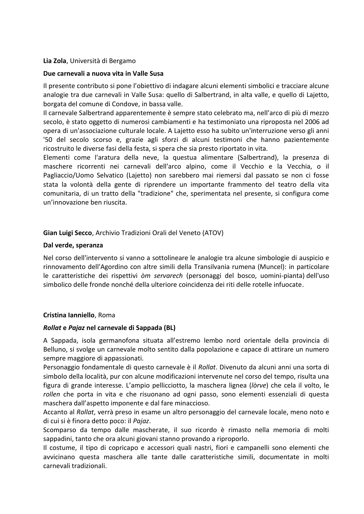### **Lia Zola**, Università di Bergamo

#### **Due carnevali a nuova vita in Valle Susa**

Il presente contributo si pone l'obiettivo di indagare alcuni elementi simbolici e tracciare alcune analogie tra due carnevali in Valle Susa: quello di Salbertrand, in alta valle, e quello di Lajetto, borgata del comune di Condove, in bassa valle.

Il carnevale Salbertrand apparentemente è sempre stato celebrato ma, nell'arco di più di mezzo secolo, è stato oggetto di numerosi cambiamenti e ha testimoniato una riproposta nel 2006 ad opera di un'associazione culturale locale. A Lajetto esso ha subito un'interruzione verso gli anni '50 del secolo scorso e, grazie agli sforzi di alcuni testimoni che hanno pazientemente ricostruito le diverse fasi della festa, si spera che sia presto riportato in vita.

Elementi come l'aratura della neve, la questua alimentare (Salbertrand), la presenza di maschere ricorrenti nei carnevali dell'arco alpino, come il Vecchio e la Vecchia, o il Pagliaccio/Uomo Selvatico (Lajetto) non sarebbero mai riemersi dal passato se non ci fosse stata la volontà della gente di riprendere un importante frammento del teatro della vita comunitaria, di un tratto della "tradizione" che, sperimentata nel presente, si configura come un'innovazione ben riuscita.

### **Gian Luigi Secco**, Archivio Tradizioni Orali del Veneto (ATOV)

#### **Dal verde, speranza**

Nel corso dell'intervento si vanno a sottolineare le analogie tra alcune simbologie di auspicio e rinnovamento dell'Agordino con altre simili della Transilvania rumena (Muncel): in particolare le caratteristiche dei rispettivi *òm servarech* (personaggi del bosco, uomini-pianta) dell'uso simbolico delle fronde nonché della ulteriore coincidenza dei riti delle rotelle infuocate.

### **Cristina Ianniello**, Roma

### *Rollat* **e** *Pajaz* **nel carnevale di Sappada (BL)**

A Sappada, isola germanofona situata all'estremo lembo nord orientale della provincia di Belluno, si svolge un carnevale molto sentito dalla popolazione e capace di attirare un numero sempre maggiore di appassionati.

Personaggio fondamentale di questo carnevale è il *Rollat*. Divenuto da alcuni anni una sorta di simbolo della località, pur con alcune modificazioni intervenute nel corso del tempo, risulta una figura di grande interesse. L'ampio pellicciotto, la maschera lignea (*lòrve*) che cela il volto, le *rollen* che porta in vita e che risuonano ad ogni passo, sono elementi essenziali di questa maschera dall'aspetto imponente e dal fare minaccioso.

Accanto al *Rollat*, verrà preso in esame un altro personaggio del carnevale locale, meno noto e di cui si è finora detto poco: il *Pajaz*.

Scomparso da tempo dalle mascherate, il suo ricordo è rimasto nella memoria di molti sappadini, tanto che ora alcuni giovani stanno provando a riproporlo.

Il costume, il tipo di copricapo e accessori quali nastri, fiori e campanelli sono elementi che avvicinano questa maschera alle tante dalle caratteristiche simili, documentate in molti carnevali tradizionali.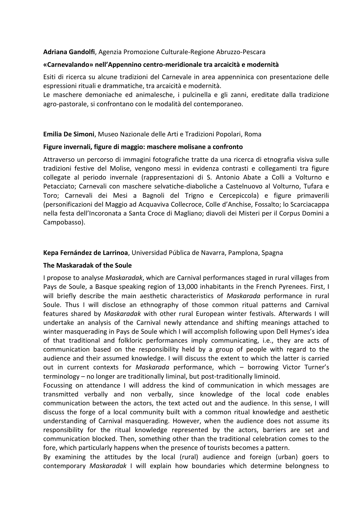### **Adriana Gandolfi**, Agenzia Promozione Culturale-Regione Abruzzo-Pescara

#### **«Carnevalando» nell'Appennino centro-meridionale tra arcaicità e modernità**

Esiti di ricerca su alcune tradizioni del Carnevale in area appenninica con presentazione delle espressioni rituali e drammatiche, tra arcaicità e modernità.

Le maschere demoniache ed animalesche, i pulcinella e gli zanni, ereditate dalla tradizione agro-pastorale, si confrontano con le modalità del contemporaneo.

**Emilia De Simoni**, Museo Nazionale delle Arti e Tradizioni Popolari, Roma

#### **Figure invernali, figure di maggio: maschere molisane a confronto**

Attraverso un percorso di immagini fotografiche tratte da una ricerca di etnografia visiva sulle tradizioni festive del Molise, vengono messi in evidenza contrasti e collegamenti tra figure collegate al periodo invernale (rappresentazioni di S. Antonio Abate a Colli a Volturno e Petacciato; Carnevali con maschere selvatiche-diaboliche a Castelnuovo al Volturno, Tufara e Toro; Carnevali dei Mesi a Bagnoli del Trigno e Cercepiccola) e figure primaverili (personificazioni del Maggio ad Acquaviva Collecroce, Colle d'Anchise, Fossalto; lo Scarciacappa nella festa dell'Incoronata a Santa Croce di Magliano; diavoli dei Misteri per il Corpus Domini a Campobasso).

#### **Kepa Fernández de Larrinoa**, Universidad Pública de Navarra, Pamplona, Spagna

#### **The Maskaradak of the Soule**

I propose to analyse *Maskaradak*, which are Carnival performances staged in rural villages from Pays de Soule, a Basque speaking region of 13,000 inhabitants in the French Pyrenees. First, I will briefly describe the main aesthetic characteristics of *Maskarada* performance in rural Soule. Thus I will disclose an ethnography of those common ritual patterns and Carnival features shared by *Maskaradak* with other rural European winter festivals. Afterwards I will undertake an analysis of the Carnival newly attendance and shifting meanings attached to winter masquerading in Pays de Soule which I will accomplish following upon Dell Hymes's idea of that traditional and folkloric performances imply communicating, i.e., they are acts of communication based on the responsibility held by a group of people with regard to the audience and their assumed knowledge. I will discuss the extent to which the latter is carried out in current contexts for *Maskarada* performance, which – borrowing Victor Turner's terminology – no longer are traditionally liminal, but post-traditionally liminoid.

Focussing on attendance I will address the kind of communication in which messages are transmitted verbally and non verbally, since knowledge of the local code enables communication between the actors, the text acted out and the audience. In this sense, I will discuss the forge of a local community built with a common ritual knowledge and aesthetic understanding of Carnival masquerading. However, when the audience does not assume its responsibility for the ritual knowledge represented by the actors, barriers are set and communication blocked. Then, something other than the traditional celebration comes to the fore, which particularly happens when the presence of tourists becomes a pattern.

By examining the attitudes by the local (rural) audience and foreign (urban) goers to contemporary *Maskaradak* I will explain how boundaries which determine belongness to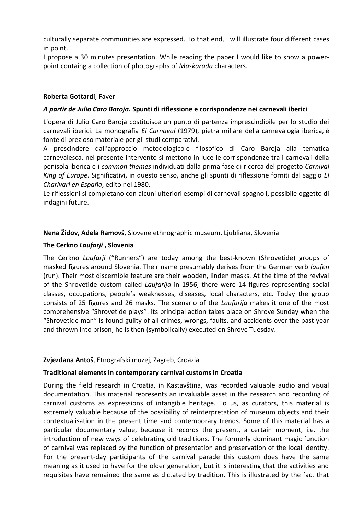culturally separate communities are expressed. To that end, I will illustrate four different cases in point.

I propose a 30 minutes presentation. While reading the paper I would like to show a powerpoint containg a collection of photographs of *Maskarada* characters.

# **Roberta Gottardi**, Faver

# *A partir de Julio Caro Baroja***. Spunti di riflessione e corrispondenze nei carnevali iberici**

L'opera di Julio Caro Baroja costituisce un punto di partenza imprescindibile per lo studio dei carnevali iberici. La monografia *El Carnaval* (1979), pietra miliare della carnevalogia iberica, è fonte di prezioso materiale per gli studi comparativi.

A prescindere dall'approccio metodologico e filosofico di Caro Baroja alla tematica carnevalesca, nel presente intervento si mettono in luce le corrispondenze tra i carnevali della penisola iberica e i *common themes* individuati dalla prima fase di ricerca del progetto *Carnival King of Europe*. Significativi, in questo senso, anche gli spunti di riflessione forniti dal saggio *El Charivari en España*, edito nel 1980.

Le riflessioni si completano con alcuni ulteriori esempi di carnevali spagnoli, possibile oggetto di indagini future.

# **Nena Židov, Adela Ramovš**, Slovene ethnographic museum, Ljubliana, Slovenia

# **The Cerkno** *Laufarji* **, Slovenia**

The Cerkno *Laufarji* ("Runners") are today among the best-known (Shrovetide) groups of masked figures around Slovenia. Their name presumably derives from the German verb *laufen*  (run). Their most discernible feature are their wooden, linden masks. At the time of the revival of the Shrovetide custom called *Laufarija* in 1956, there were 14 figures representing social classes, occupations, people's weaknesses, diseases, local characters, etc. Today the group consists of 25 figures and 26 masks. The scenario of the *Laufarija* makes it one of the most comprehensive "Shrovetide plays": its principal action takes place on Shrove Sunday when the "Shrovetide man" is found guilty of all crimes, wrongs, faults, and accidents over the past year and thrown into prison; he is then (symbolically) executed on Shrove Tuesday.

### **Zvjezdana Antoš**, Etnografski muzej, Zagreb, Croazia

### **Traditional elements in contemporary carnival customs in Croatia**

During the field research in Croatia, in Kastavština, was recorded valuable audio and visual documentation. This material represents an invaluable asset in the research and recording of carnival customs as expressions of intangible heritage. To us, as curators, this material is extremely valuable because of the possibility of reinterpretation of museum objects and their contextualisation in the present time and contemporary trends. Some of this material has a particular documentary value, because it records the present, a certain moment, i.e. the introduction of new ways of celebrating old traditions. The formerly dominant magic function of carnival was replaced by the function of presentation and preservation of the local identity. For the present-day participants of the carnival parade this custom does have the same meaning as it used to have for the older generation, but it is interesting that the activities and requisites have remained the same as dictated by tradition. This is illustrated by the fact that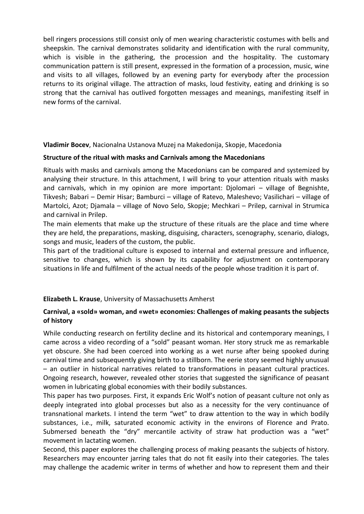bell ringers processions still consist only of men wearing characteristic costumes with bells and sheepskin. The carnival demonstrates solidarity and identification with the rural community, which is visible in the gathering, the procession and the hospitality. The customary communication pattern is still present, expressed in the formation of a procession, music, wine and visits to all villages, followed by an evening party for everybody after the procession returns to its original village. The attraction of masks, loud festivity, eating and drinking is so strong that the carnival has outlived forgotten messages and meanings, manifesting itself in new forms of the carnival.

**Vladimir Bocev**, Nacionalna Ustanova Muzej na Makedonija, Skopje, Macedonia

# **Structure of the ritual with masks and Carnivals among the Macedonians**

Rituals with masks and carnivals among the Macedonians can be compared and systemized by analysing their structure. In this attachment, I will bring to your attention rituals with masks and carnivals, which in my opinion are more important: Djolomari – village of Begnishte, Tikvesh; Babari – Demir Hisar; Bamburci – village of Ratevo, Maleshevo; Vasilichari – village of Martolci, Azot; Djamala – village of Novo Selo, Skopje; Mechkari – Prilep, carnival in Strumica and carnival in Prilep.

The main elements that make up the structure of these rituals are the place and time where they are held, the preparations, masking, disguising, characters, scenography, scenario, dialogs, songs and music, leaders of the custom, the public.

This part of the traditional culture is exposed to internal and external pressure and influence, sensitive to changes, which is shown by its capability for adjustment on contemporary situations in life and fulfilment of the actual needs of the people whose tradition it is part of.

### **Elizabeth L. Krause**, University of Massachusetts Amherst

# **Carnival, a «sold» woman, and «wet» economies: Challenges of making peasants the subjects of history**

While conducting research on fertility decline and its historical and contemporary meanings, I came across a video recording of a "sold" peasant woman. Her story struck me as remarkable yet obscure. She had been coerced into working as a wet nurse after being spooked during carnival time and subsequently giving birth to a stillborn. The eerie story seemed highly unusual – an outlier in historical narratives related to transformations in peasant cultural practices. Ongoing research, however, revealed other stories that suggested the significance of peasant women in lubricating global economies with their bodily substances.

This paper has two purposes. First, it expands Eric Wolf's notion of peasant culture not only as deeply integrated into global processes but also as a necessity for the very continuance of transnational markets. I intend the term "wet" to draw attention to the way in which bodily substances, i.e., milk, saturated economic activity in the environs of Florence and Prato. Submersed beneath the "dry" mercantile activity of straw hat production was a "wet" movement in lactating women.

Second, this paper explores the challenging process of making peasants the subjects of history. Researchers may encounter jarring tales that do not fit easily into their categories. The tales may challenge the academic writer in terms of whether and how to represent them and their